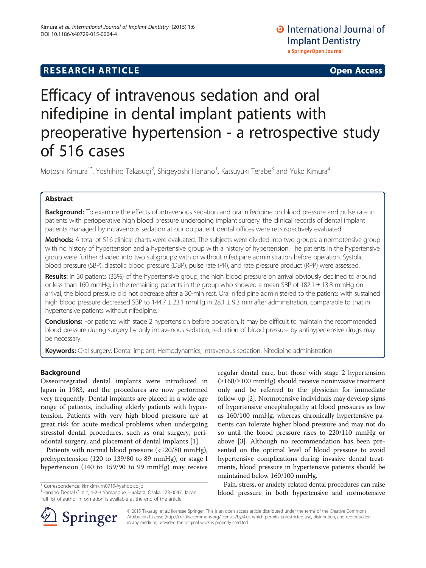## **RESEARCH ARTICLE Example 2014 12:30 The SEAR CHA RTICLE**

# Efficacy of intravenous sedation and oral nifedipine in dental implant patients with preoperative hypertension - a retrospective study of 516 cases

Motoshi Kimura<sup>1\*</sup>, Yoshihiro Takasugi<sup>2</sup>, Shigeyoshi Hanano<sup>1</sup>, Katsuyuki Terabe<sup>3</sup> and Yuko Kimura<sup>4</sup>

## Abstract

**Background:** To examine the effects of intravenous sedation and oral nifedipine on blood pressure and pulse rate in patients with perioperative high blood pressure undergoing implant surgery, the clinical records of dental implant patients managed by intravenous sedation at our outpatient dental offices were retrospectively evaluated.

Methods: A total of 516 clinical charts were evaluated. The subjects were divided into two groups: a normotensive group with no history of hypertension and a hypertensive group with a history of hypertension. The patients in the hypertensive group were further divided into two subgroups: with or without nifedipine administration before operation. Systolic blood pressure (SBP), diastolic blood pressure (DBP), pulse rate (PR), and rate pressure product (RPP) were assessed.

Results: In 30 patients (33%) of the hypertensive group, the high blood pressure on arrival obviously declined to around or less than 160 mmHg; in the remaining patients in the group who showed a mean SBP of 182.1  $\pm$  13.8 mmHg on arrival, the blood pressure did not decrease after a 30-min rest. Oral nifedipine administered to the patients with sustained high blood pressure decreased SBP to 144.7 ± 23.1 mmHg in 28.1 ± 9.3 min after administration, comparable to that in hypertensive patients without nifedipine.

Conclusions: For patients with stage 2 hypertension before operation, it may be difficult to maintain the recommended blood pressure during surgery by only intravenous sedation; reduction of blood pressure by antihypertensive drugs may be necessary.

Keywords: Oral surgery; Dental implant; Hemodynamics; Intravenous sedation; Nifedipine administration

## Background

Osseointegrated dental implants were introduced in Japan in 1983, and the procedures are now performed very frequently. Dental implants are placed in a wide age range of patients, including elderly patients with hypertension. Patients with very high blood pressure are at great risk for acute medical problems when undergoing stressful dental procedures, such as oral surgery, periodontal surgery, and placement of dental implants [\[1](#page-5-0)].

Patients with normal blood pressure (<120/80 mmHg), prehypertension (120 to 139/80 to 89 mmHg), or stage I hypertension (140 to 159/90 to 99 mmHg) may receive

\* Correspondence: [kimkimkim0719@yahoo.co.jp](mailto:kimkimkim0719@yahoo.co.jp) <sup>1</sup>

<sup>1</sup> Hanano Dental Clinic, 4-2-3 Yamanoue, Hirakata, Osaka 573-0047, Japan Full list of author information is available at the end of the article

regular dental care, but those with stage 2 hypertension (≥160/≥100 mmHg) should receive noninvasive treatment only and be referred to the physician for immediate follow-up [[2\]](#page-5-0). Normotensive individuals may develop signs of hypertensive encephalopathy at blood pressures as low as 160/100 mmHg, whereas chronically hypertensive patients can tolerate higher blood pressure and may not do so until the blood pressure rises to 220/110 mmHg or above [[3](#page-5-0)]. Although no recommendation has been presented on the optimal level of blood pressure to avoid hypertensive complications during invasive dental treatments, blood pressure in hypertensive patients should be maintained below 160/100 mmHg.

Pain, stress, or anxiety-related dental procedures can raise blood pressure in both hypertensive and normotensive



© 2015 Takasugi et al.; licensee Springer. This is an open access article distributed under the terms of the Creative Commons Attribution License [\(http://creativecommons.org/licenses/by/4.0\)](http://creativecommons.org/licenses/by/4.0), which permits unrestricted use, distribution, and reproduction in any medium, provided the original work is properly credited.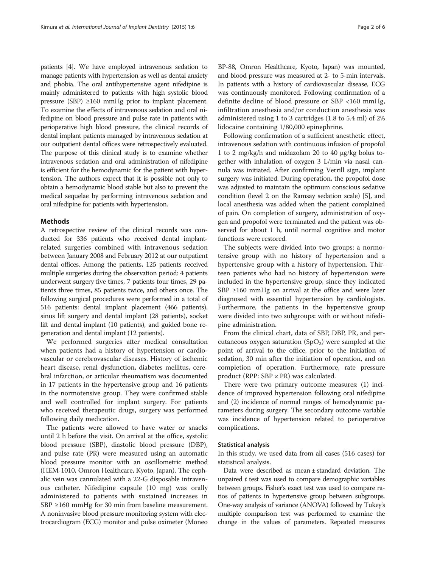patients [\[4](#page-5-0)]. We have employed intravenous sedation to manage patients with hypertension as well as dental anxiety and phobia. The oral antihypertensive agent nifedipine is mainly administered to patients with high systolic blood pressure (SBP) ≥160 mmHg prior to implant placement. To examine the effects of intravenous sedation and oral nifedipine on blood pressure and pulse rate in patients with perioperative high blood pressure, the clinical records of dental implant patients managed by intravenous sedation at our outpatient dental offices were retrospectively evaluated. The purpose of this clinical study is to examine whether intravenous sedation and oral administration of nifedipine is efficient for the hemodynamic for the patient with hypertension. The authors expect that it is possible not only to obtain a hemodynamic blood stable but also to prevent the medical sequelae by performing intravenous sedation and oral nifedipine for patients with hypertension.

#### Methods

A retrospective review of the clinical records was conducted for 336 patients who received dental implantrelated surgeries combined with intravenous sedation between January 2008 and February 2012 at our outpatient dental offices. Among the patients, 125 patients received multiple surgeries during the observation period: 4 patients underwent surgery five times, 7 patients four times, 29 patients three times, 85 patients twice, and others once. The following surgical procedures were performed in a total of 516 patients: dental implant placement (466 patients), sinus lift surgery and dental implant (28 patients), socket lift and dental implant (10 patients), and guided bone regeneration and dental implant (12 patients).

We performed surgeries after medical consultation when patients had a history of hypertension or cardiovascular or cerebrovascular diseases. History of ischemic heart disease, renal dysfunction, diabetes mellitus, cerebral infarction, or articular rheumatism was documented in 17 patients in the hypertensive group and 16 patients in the normotensive group. They were confirmed stable and well controlled for implant surgery. For patients who received therapeutic drugs, surgery was performed following daily medication.

The patients were allowed to have water or snacks until 2 h before the visit. On arrival at the office, systolic blood pressure (SBP), diastolic blood pressure (DBP), and pulse rate (PR) were measured using an automatic blood pressure monitor with an oscillometric method (HEM-1010, Omron Healthcare, Kyoto, Japan). The cephalic vein was cannulated with a 22-G disposable intravenous catheter. Nifedipine capsule (10 mg) was orally administered to patients with sustained increases in SBP ≥160 mmHg for 30 min from baseline measurement. A noninvasive blood pressure monitoring system with electrocardiogram (ECG) monitor and pulse oximeter (Moneo BP-88, Omron Healthcare, Kyoto, Japan) was mounted, and blood pressure was measured at 2- to 5-min intervals. In patients with a history of cardiovascular disease, ECG was continuously monitored. Following confirmation of a definite decline of blood pressure or SBP <160 mmHg, infiltration anesthesia and/or conduction anesthesia was administered using 1 to 3 cartridges (1.8 to 5.4 ml) of 2% lidocaine containing 1/80,000 epinephrine.

Following confirmation of a sufficient anesthetic effect, intravenous sedation with continuous infusion of propofol 1 to 2 mg/kg/h and midazolam 20 to 40 μg/kg bolus together with inhalation of oxygen 3 L/min via nasal cannula was initiated. After confirming Verrill sign, implant surgery was initiated. During operation, the propofol dose was adjusted to maintain the optimum conscious sedative condition (level 2 on the Ramsay sedation scale) [\[5](#page-5-0)], and local anesthesia was added when the patient complained of pain. On completion of surgery, administration of oxygen and propofol were terminated and the patient was observed for about 1 h, until normal cognitive and motor functions were restored.

The subjects were divided into two groups: a normotensive group with no history of hypertension and a hypertensive group with a history of hypertension. Thirteen patients who had no history of hypertension were included in the hypertensive group, since they indicated SBP ≥160 mmHg on arrival at the office and were later diagnosed with essential hypertension by cardiologists. Furthermore, the patients in the hypertensive group were divided into two subgroups: with or without nifedipine administration.

From the clinical chart, data of SBP, DBP, PR, and percutaneous oxygen saturation  $(SpO<sub>2</sub>)$  were sampled at the point of arrival to the office, prior to the initiation of sedation, 30 min after the initiation of operation, and on completion of operation. Furthermore, rate pressure product (RPP:  $SBP \times PR$ ) was calculated.

There were two primary outcome measures: (1) incidence of improved hypertension following oral nifedipine and (2) incidence of normal ranges of hemodynamic parameters during surgery. The secondary outcome variable was incidence of hypertension related to perioperative complications.

#### Statistical analysis

In this study, we used data from all cases (516 cases) for statistical analysis.

Data were described as mean ± standard deviation. The unpaired  $t$  test was used to compare demographic variables between groups. Fisher's exact test was used to compare ratios of patients in hypertensive group between subgroups. One-way analysis of variance (ANOVA) followed by Tukey's multiple comparison test was performed to examine the change in the values of parameters. Repeated measures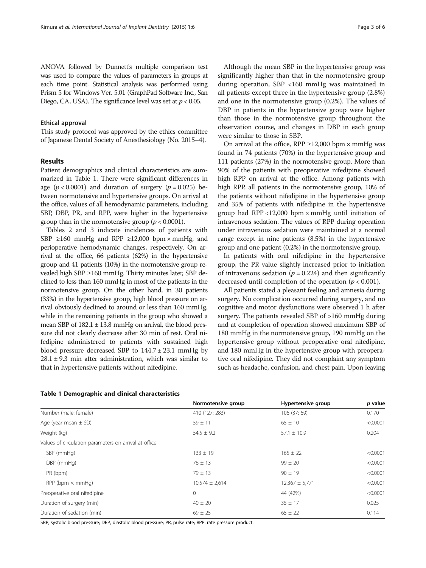ANOVA followed by Dunnett's multiple comparison test was used to compare the values of parameters in groups at each time point. Statistical analysis was performed using Prism 5 for Windows Ver. 5.01 (GraphPad Software Inc., San Diego, CA, USA). The significance level was set at  $p < 0.05$ .

#### Ethical approval

This study protocol was approved by the ethics committee of Japanese Dental Society of Anesthesiology (No. 2015–4).

### Results

Patient demographics and clinical characteristics are summarized in Table 1. There were significant differences in age  $(p < 0.0001)$  and duration of surgery  $(p = 0.025)$  between normotensive and hypertensive groups. On arrival at the office, values of all hemodynamic parameters, including SBP, DBP, PR, and RPP, were higher in the hypertensive group than in the normotensive group ( $p < 0.0001$ ).

Tables [2](#page-3-0) and [3](#page-3-0) indicate incidences of patients with SBP  $\geq$ 160 mmHg and RPP  $\geq$ 12,000 bpm × mmHg, and perioperative hemodynamic changes, respectively. On arrival at the office, 66 patients (62%) in the hypertensive group and 41 patients (10%) in the normotensive group revealed high SBP ≥160 mmHg. Thirty minutes later, SBP declined to less than 160 mmHg in most of the patients in the normotensive group. On the other hand, in 30 patients (33%) in the hypertensive group, high blood pressure on arrival obviously declined to around or less than 160 mmHg, while in the remaining patients in the group who showed a mean SBP of  $182.1 \pm 13.8$  mmHg on arrival, the blood pressure did not clearly decrease after 30 min of rest. Oral nifedipine administered to patients with sustained high blood pressure decreased SBP to  $144.7 \pm 23.1$  mmHg by  $28.1 \pm 9.3$  min after administration, which was similar to that in hypertensive patients without nifedipine.

|  | <b>Table 1 Demographic and clinical characteristics</b> |
|--|---------------------------------------------------------|

Although the mean SBP in the hypertensive group was significantly higher than that in the normotensive group during operation, SBP <160 mmHg was maintained in all patients except three in the hypertensive group (2.8%) and one in the normotensive group (0.2%). The values of DBP in patients in the hypertensive group were higher than those in the normotensive group throughout the observation course, and changes in DBP in each group were similar to those in SBP.

On arrival at the office, RPP  $\geq$ 12,000 bpm × mmHg was found in 74 patients (70%) in the hypertensive group and 111 patients (27%) in the normotensive group. More than 90% of the patients with preoperative nifedipine showed high RPP on arrival at the office. Among patients with high RPP, all patients in the normotensive group, 10% of the patients without nifedipine in the hypertensive group and 35% of patients with nifedipine in the hypertensive group had RPP <12,000 bpm  $\times$  mmHg until initiation of intravenous sedation. The values of RPP during operation under intravenous sedation were maintained at a normal range except in nine patients (8.5%) in the hypertensive group and one patient (0.2%) in the normotensive group.

In patients with oral nifedipine in the hypertensive group, the PR value slightly increased prior to initiation of intravenous sedation ( $p = 0.224$ ) and then significantly decreased until completion of the operation ( $p < 0.001$ ).

All patients stated a pleasant feeling and amnesia during surgery. No complication occurred during surgery, and no cognitive and motor dysfunctions were observed 1 h after surgery. The patients revealed SBP of >160 mmHg during and at completion of operation showed maximum SBP of 180 mmHg in the normotensive group, 190 mmHg on the hypertensive group without preoperative oral nifedipine, and 180 mmHg in the hypertensive group with preoperative oral nifedipine. They did not complaint any symptom such as headache, confusion, and chest pain. Upon leaving

|                                                       | Normotensive group | Hypertensive group | p value  |
|-------------------------------------------------------|--------------------|--------------------|----------|
| Number (male: female)                                 | 410 (127: 283)     | 106 (37: 69)       | 0.170    |
| Age (year mean $\pm$ SD)                              | $59 \pm 11$        | $65 \pm 10$        | < 0.0001 |
| Weight (kg)                                           | $54.5 \pm 9.2$     | $57.1 \pm 10.9$    | 0.204    |
| Values of circulation parameters on arrival at office |                    |                    |          |
| SBP (mmHg)                                            | $133 \pm 19$       | $165 \pm 22$       | < 0.0001 |
| DBP (mmHg)                                            | $76 \pm 13$        | $99 \pm 20$        | < 0.0001 |
| PR (bpm)                                              | $79 \pm 13$        | $90 \pm 19$        | < 0.0001 |
| $RPP$ (bpm $\times$ mmHg)                             | $10,574 \pm 2,614$ | $12,367 \pm 5,771$ | < 0.0001 |
| Preoperative oral nifedipine                          | $\circ$            | 44 (42%)           | < 0.0001 |
| Duration of surgery (min)                             | $40 \pm 20$        | $35 \pm 17$        | 0.025    |
| Duration of sedation (min)                            | $69 \pm 25$        | $65 \pm 22$        | 0.114    |

SBP, systolic blood pressure; DBP, diastolic blood pressure; PR, pulse rate; RPP. rate pressure product.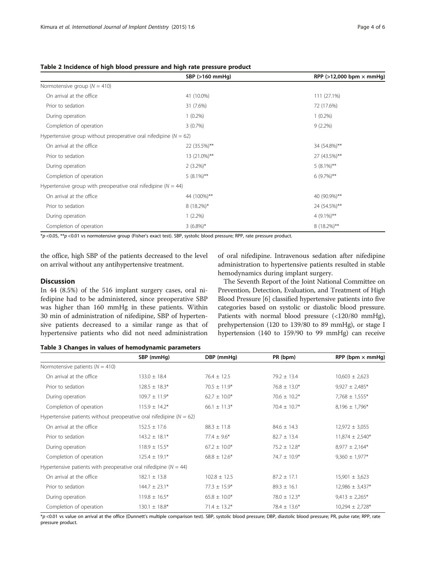|                                                                      | SBP (>160 mmHg) | RPP ( $>12,000$ bpm $\times$ mmHg) |
|----------------------------------------------------------------------|-----------------|------------------------------------|
| Normotensive group ( $N = 410$ )                                     |                 |                                    |
| On arrival at the office                                             | 41 (10.0%)      | 111 (27.1%)                        |
| Prior to sedation                                                    | 31 (7.6%)       | 72 (17.6%)                         |
| During operation                                                     | $1(0.2\%)$      | $1(0.2\%)$                         |
| Completion of operation                                              | 3(0.7%)         | $9(2.2\%)$                         |
| Hypertensive group without preoperative oral nifedipine ( $N = 62$ ) |                 |                                    |
| On arrival at the office                                             | 22 (35.5%)**    | 34 (54.8%)**                       |
| Prior to sedation                                                    | 13 (21.0%)**    | 27 (43.5%)**                       |
| During operation                                                     | $2(3.2\%)*$     | $5(8.1\%)$ **                      |
| Completion of operation                                              | $5(8.1\%)$ **   | $6(9.7\%)**$                       |
| Hypertensive group with preoperative oral nifedipine ( $N = 44$ )    |                 |                                    |
| On arrival at the office                                             | 44 (100%)**     | 40 (90.9%)**                       |
| Prior to sedation                                                    | $8(18.2\%)*$    | 24 (54.5%)**                       |
| During operation                                                     | $1(2.2\%)$      | $4(9.1\%)$ **                      |
| Completion of operation                                              | $3(6.8\%)*$     | 8 (18.2%)**                        |

#### <span id="page-3-0"></span>Table 2 Incidence of high blood pressure and high rate pressure product

\*p <0.05, \*\*p <0.01 vs normotensive group (Fisher's exact test). SBP, systolic blood pressure; RPP, rate pressure product.

the office, high SBP of the patients decreased to the level on arrival without any antihypertensive treatment.

## Discussion

In 44 (8.5%) of the 516 implant surgery cases, oral nifedipine had to be administered, since preoperative SBP was higher than 160 mmHg in these patients. Within 30 min of administration of nifedipine, SBP of hypertensive patients decreased to a similar range as that of hypertensive patients who did not need administration of oral nifedipine. Intravenous sedation after nifedipine administration to hypertensive patients resulted in stable hemodynamics during implant surgery.

The Seventh Report of the Joint National Committee on Prevention, Detection, Evaluation, and Treatment of High Blood Pressure [\[6](#page-5-0)] classified hypertensive patients into five categories based on systolic or diastolic blood pressure. Patients with normal blood pressure (<120/80 mmHg), prehypertension (120 to 139/80 to 89 mmHg), or stage I hypertension (140 to 159/90 to 99 mmHg) can receive

| Table 3 Changes in values of hemodynamic parameters |  |  |  |
|-----------------------------------------------------|--|--|--|
|-----------------------------------------------------|--|--|--|

|                                                                         | SBP (mmHg)         | DBP (mmHg)       | PR (bpm)          | RPP (bpm $\times$ mmHg) |
|-------------------------------------------------------------------------|--------------------|------------------|-------------------|-------------------------|
| Normotensive patients ( $N = 410$ )                                     |                    |                  |                   |                         |
| On arrival at the office                                                | $133.0 \pm 18.4$   | $76.4 \pm 12.5$  | $79.2 \pm 13.4$   | $10,603 \pm 2,623$      |
| Prior to sedation                                                       | $128.5 \pm 18.3*$  | $70.5 \pm 11.9*$ | $76.8 \pm 13.0*$  | $9,927 \pm 2,485$ *     |
| During operation                                                        | $109.7 \pm 11.9*$  | $62.7 \pm 10.0*$ | $70.6 \pm 10.2*$  | $7,768 \pm 1,555*$      |
| Completion of operation                                                 | $115.9 \pm 14.2*$  | $66.1 \pm 11.3*$ | $70.4 \pm 10.7*$  | $8,196 \pm 1,796*$      |
| Hypertensive patients without preoperative oral nifedipine ( $N = 62$ ) |                    |                  |                   |                         |
| On arrival at the office                                                | $152.5 \pm 17.6$   | $88.3 \pm 11.8$  | $84.6 \pm 14.3$   | $12,972 \pm 3,055$      |
| Prior to sedation                                                       | $143.2 \pm 18.1*$  | $77.4 \pm 9.6^*$ | $82.7 \pm 13.4$   | $11,874 \pm 2,540*$     |
| During operation                                                        | $118.9 \pm 15.5*$  | $67.2 \pm 10.0*$ | $75.2 \pm 12.8^*$ | $8,977 \pm 2,164*$      |
| Completion of operation                                                 | $125.4 \pm 19.1*$  | $68.8 \pm 12.6*$ | $74.7 \pm 10.9$ * | $9,360 \pm 1,977$ *     |
| Hypertensive patients with preoperative oral nifedipine ( $N = 44$ )    |                    |                  |                   |                         |
| On arrival at the office                                                | $182.1 \pm 13.8$   | $102.8 \pm 12.5$ | $87.2 \pm 17.1$   | $15,901 \pm 3,623$      |
| Prior to sedation                                                       | $144.7 \pm 23.1*$  | $77.3 \pm 15.9*$ | $89.3 \pm 16.1$   | $12,986 \pm 3,437*$     |
| During operation                                                        | $119.8 \pm 16.5*$  | $65.8 \pm 10.0*$ | $78.0 \pm 12.3*$  | $9,413 \pm 2,265$ *     |
| Completion of operation                                                 | $130.1 \pm 18.8^*$ | $71.4 \pm 13.2*$ | $78.4 \pm 13.6*$  | $10,294 \pm 2,728$ *    |

\*p <0.01 vs value on arrival at the office (Dunnett's multiple comparison test). SBP, systolic blood pressure; DBP, diastolic blood pressure; PR, pulse rate; RPP, rate pressure product.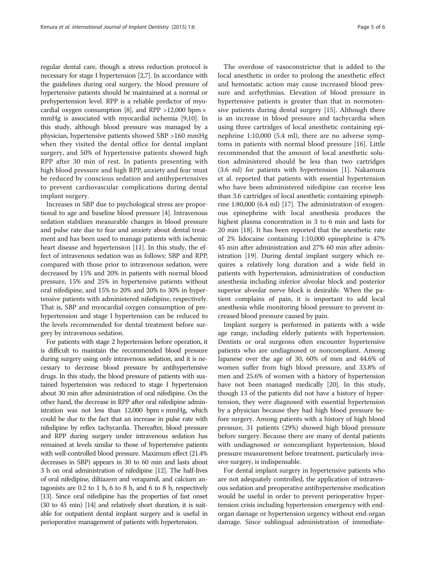regular dental care, though a stress reduction protocol is necessary for stage I hypertension [[2,7](#page-5-0)]. In accordance with the guidelines during oral surgery, the blood pressure of hypertensive patients should be maintained at a normal or prehypertension level. RPP is a reliable predictor of myo-cardial oxygen consumption [[8](#page-5-0)], and RPP  $>12,000$  bpm  $\times$ mmHg is associated with myocardial ischemia [\[9,10](#page-5-0)]. In this study, although blood pressure was managed by a physician, hypertensive patients showed SBP >160 mmHg when they visited the dental office for dental implant surgery, and 50% of hypertensive patients showed high RPP after 30 min of rest. In patients presenting with high blood pressure and high RPP, anxiety and fear must be reduced by conscious sedation and antihypertensives to prevent cardiovascular complications during dental implant surgery.

Increases in SBP due to psychological stress are proportional to age and baseline blood pressure [[4\]](#page-5-0). Intravenous sedation stabilizes measurable changes in blood pressure and pulse rate due to fear and anxiety about dental treatment and has been used to manage patients with ischemic heart disease and hypertension [[11](#page-5-0)]. In this study, the effect of intravenous sedation was as follows: SBP and RPP, compared with those prior to intravenous sedation, were decreased by 15% and 20% in patients with normal blood pressure, 15% and 25% in hypertensive patients without oral nifedipine, and 15% to 20% and 20% to 30% in hypertensive patients with administered nifedipine, respectively. That is, SBP and myocardial oxygen consumption of prehypertension and stage I hypertension can be reduced to the levels recommended for dental treatment before surgery by intravenous sedation.

For patients with stage 2 hypertension before operation, it is difficult to maintain the recommended blood pressure during surgery using only intravenous sedation, and it is necessary to decrease blood pressure by antihypertensive drugs. In this study, the blood pressure of patients with sustained hypertension was reduced to stage I hypertension about 30 min after administration of oral nifedipine. On the other hand, the decrease in RPP after oral nifedipine administration was not less than  $12,000$  bpm  $\times$  mmHg, which could be due to the fact that an increase in pulse rate with nifedipine by reflex tachycardia. Thereafter, blood pressure and RPP during surgery under intravenous sedation has remained at levels similar to those of hypertensive patients with well-controlled blood pressure. Maximum effect (21.4% decreases in SBP) appears in 30 to 60 min and lasts about 3 h on oral administration of nifedipine [\[12](#page-5-0)]. The half-lives of oral nifedipine, diltiazem and verapamil, and calcium antagonists are 0.2 to 1 h, 6 to 8 h, and 6 to 8 h, respectively [[13\]](#page-5-0). Since oral nifedipine has the properties of fast onset (30 to 45 min) [[14](#page-5-0)] and relatively short duration, it is suitable for outpatient dental implant surgery and is useful in perioperative management of patients with hypertension.

The overdose of vasoconstrictor that is added to the local anesthetic in order to prolong the anesthetic effect and hemostatic action may cause increased blood pressure and arrhythmias. Elevation of blood pressure in hypertensive patients is greater than that in normotensive patients during dental surgery [\[15](#page-5-0)]. Although there is an increase in blood pressure and tachycardia when using three cartridges of local anesthetic containing epinephrine 1:10,000 (5.4 ml), there are no adverse symptoms in patients with normal blood pressure [\[16](#page-5-0)]. Little recommended that the amount of local anesthetic solution administered should be less than two cartridges (3.6 ml) for patients with hypertension [[1\]](#page-5-0). Nakamura et al. reported that patients with essential hypertension who have been administered nifedipine can receive less than 3.6 cartridges of local anesthetic containing epinephrine 1:80,000 (6.4 ml) [\[17](#page-5-0)]. The administration of exogenous epinephrine with local anesthesia produces the highest plasma concentration in 3 to 6 min and lasts for 20 min [\[18\]](#page-5-0). It has been reported that the anesthetic rate of 2% lidocaine containing 1:10,000 epinephrine is 47% 45 min after administration and 27% 60 min after administration [[19](#page-5-0)]. During dental implant surgery which requires a relatively long duration and a wide field in patients with hypertension, administration of conduction anesthesia including inferior alveolar block and posterior superior alveolar nerve block is desirable. When the patient complains of pain, it is important to add local anesthesia while monitoring blood pressure to prevent increased blood pressure caused by pain.

Implant surgery is performed in patients with a wide age range, including elderly patients with hypertension. Dentists or oral surgeons often encounter hypertensive patients who are undiagnosed or noncompliant. Among Japanese over the age of 30, 60% of men and 44.6% of women suffer from high blood pressure, and 33.8% of men and 25.6% of women with a history of hypertension have not been managed medically [\[20\]](#page-5-0). In this study, though 13 of the patients did not have a history of hypertension, they were diagnosed with essential hypertension by a physician because they had high blood pressure before surgery. Among patients with a history of high blood pressure, 31 patients (29%) showed high blood pressure before surgery. Because there are many of dental patients with undiagnosed or noncompliant hypertension, blood pressure measurement before treatment, particularly invasive surgery, is indispensable.

For dental implant surgery in hypertensive patients who are not adequately controlled, the application of intravenous sedation and preoperative antihypertensive medication would be useful in order to prevent perioperative hypertension crisis including hypertension emergency with endorgan damage or hypertension urgency without end-organ damage. Since sublingual administration of immediate-